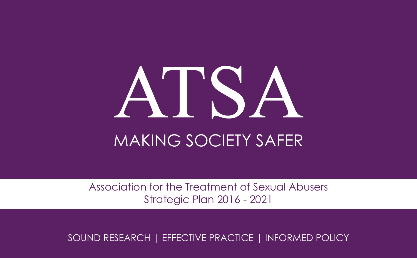# N'ISA MAKING SOCIETY SAFER

Association for the Treatment of Sexual Abusers Strategic Plan 2016 - 2021

SOUND RESEARCH | EFFECTIVE PRACTICE | INFORMED POLICY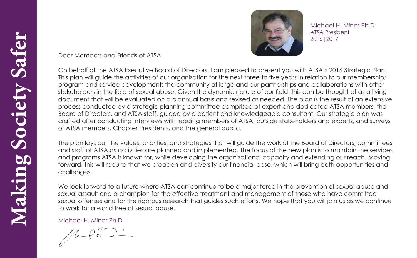

Michael H. Miner Ph.D ATSA President 2016|2017

Dear Members and Friends of ATSA:

On behalf of the ATSA Executive Board of Directors, I am pleased to present you with ATSA's 2016 Strategic Plan. This plan will guide the activities of our organization for the next three to five years in relation to our membership; program and service development; the community at large and our partnerships and collaborations with other stakeholders in the field of sexual abuse. Given the dynamic nature of our field, this can be thought of as a living document that will be evaluated on a biannual basis and revised as needed. The plan is the result of an extensive process conducted by a strategic planning committee comprised of expert and dedicated ATSA members, the Board of Directors, and ATSA staff, guided by a patient and knowledgeable consultant. Our strategic plan was crafted after conducting interviews with leading members of ATSA, outside stakeholders and experts, and surveys of ATSA members, Chapter Presidents, and the general public.

The plan lays out the values, priorities, and strategies that will guide the work of the Board of Directors, committees and staff of ATSA as activities are planned and implemented. The focus of the new plan is to maintain the services and programs ATSA is known for, while developing the organizational capacity and extending our reach. Moving forward, this will require that we broaden and diversify our financial base, which will bring both opportunities and challenges.

We look forward to a future where ATSA can continue to be a major force in the prevention of sexual abuse and sexual assault and a champion for the effective treatment and management of those who have committed sexual offenses and for the rigorous research that guides such efforts. We hope that you will join us as we continue to work for a world free of sexual abuse.

Michael H. Miner Ph.D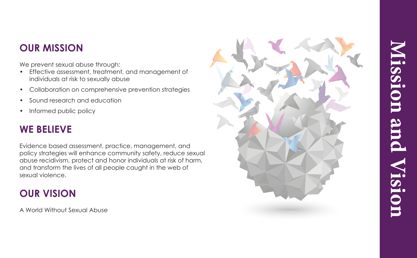## **OUR MISSION**

We prevent sexual abuse through:

- Effective assessment, treatment, and management of individuals at risk to sexually abuse
- Collaboration on comprehensive prevention strategies
- Sound research and education
- Informed public policy

# **WE BELIEVE**

Evidence based assessment, practice, management, and policy strategies will enhance community safety, reduce sexual abuse recidivism, protect and honor individuals at risk of harm, and transform the lives of all people caught in the web of sexual violence.

# **OUR VISION**

A World Without Sexual Abuse

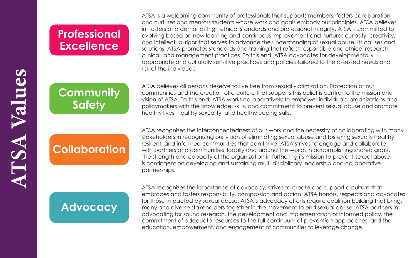# **Professional Excellence**

**Community Safety**

# **Collaboration**

# **Advocacy**

ATSA is a welcoming community of professionals that supports members, fosters collaboration and nurtures and mentors students whose work and goals embody our principles. ATSA believes in, fosters and demands high ethical standards and professional integrity. ATSA is committed to evolving based on new learning and continuous improvement and nurtures curiosity, creativity, and intellectual rigor that serves to advance the understanding of sexual abuse, its causes and solutions. ATSA promotes standards and training that reflect responsible and ethical research, clinical, and management practices. To this end, ATSA advocates for developmentally appropriate and culturally sensitive practices and policies tailored to the assessed needs and risk of the individual.

ATSA believes all persons deserve to live free from sexual victimization. Protection of our communities and the creation of a culture that supports this belief is central to the mission and vision of ATSA. To this end, ATSA works collaboratively to empower individuals, organizations and policymakers with the knowledge, skills, and commitment to prevent sexual abuse and promote healthy lives, healthy sexuality, and healthy coping skills.

ATSA recognizes the interconnectedness of our work and the necessity of collaborating with many stakeholders in recognizing our vision of eliminating sexual abuse and fostering sexually healthy, resilient, and informed communities that can thrive. ATSA strives to engage and collaborate with partners and communities, locally and around the world, in accomplishing shared goals. The strength and capacity of the organization in furthering its mission to prevent sexual abuse is contingent on developing and sustaining multi-disciplinary leadership and collaborative partnerships.

ATSA recognizes the importance of advocacy, strives to create and support a culture that embraces and fosters responsibility, compassion and action. ATSA honors, respects and advocates for those impacted by sexual abuse. ATSA's advocacy efforts require coalition building that brings many and diverse stakeholders together in the movement to end sexual abuse. ATSA partners in advocating for sound research, the development and implementation of informed policy, the commitment of adequate resources to the full continuum of prevention approaches, and the education, empowerment, and engagement of communities to leverage change.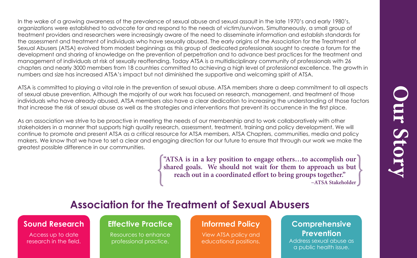In the wake of a growing awareness of the prevalence of sexual abuse and sexual assault in the late 1970's and early 1980's, organizations were established to advocate for and respond to the needs of victim/survivors. Simultaneously, a small group of treatment providers and researchers were increasingly aware of the need to disseminate information and establish standards for the assessment and treatment of individuals who have sexually abused. The early origins of the Association for the Treatment of Sexual Abusers (ATSA) evolved from modest beginnings as this group of dedicated professionals sought to create a forum for the development and sharing of knowledge on the prevention of perpetration and to advance best practices for the treatment and management of individuals at risk of sexually reoffending. Today ATSA is a multidisciplinary community of professionals with 26 chapters and nearly 3000 members from 18 countries committed to achieving a high level of professional excellence. The growth in numbers and size has increased ATSA's impact but not diminished the supportive and welcoming spirit of ATSA.

ATSA is committed to playing a vital role in the prevention of sexual abuse. ATSA members share a deep commitment to all aspects of sexual abuse prevention. Although the majority of our work has focused on research, management, and treatment of those individuals who have already abused, ATSA members also have a clear dedication to increasing the understanding of those factors that increase the risk of sexual abuse as well as the strategies and interventions that prevent its occurrence in the first place.

As an association we strive to be proactive in meeting the needs of our membership and to work collaboratively with other stakeholders in a manner that supports high quality research, assessment, treatment, training and policy development. We will continue to promote and present ATSA as a critical resource for ATSA members, ATSA Chapters, communities, media and policy makers. We know that we have to set a clear and engaging direction for our future to ensure that through our work we make the greatest possible difference in our communities.

> **"ATSA is in a key position to engage others…to accomplish our shared goals. We should not wait for them to approach us but reach out in a coordinated effort to bring groups together."**

## **Association for the Treatment of Sexual Abusers**

#### **Sound Research**

Access up to date research in the field.

#### **Effective Practice**

Resources to enhance professional practice.

#### **Informed Policy**

View ATSA policy and educational positions.

#### **Comprehensive Prevention**

**Our Story**

Address sexual abuse as a public health issue.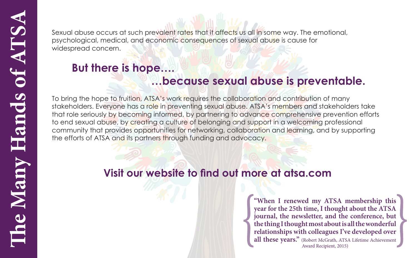Sexual abuse occurs at such prevalent rates that it affects us all in some way. The emotional, psychological, medical, and economic consequences of sexual abuse is cause for widespread concern.

# **But there is hope….**

### **…because sexual abuse is preventable.**

To bring the hope to fruition, ATSA's work requires the collaboration and contribution of many stakeholders. Everyone has a role in preventing sexual abuse. ATSA's members and stakeholders take that role seriously by becoming informed, by partnering to advance comprehensive prevention efforts to end sexual abuse, by creating a culture of belonging and support in a welcoming professional community that provides opportunities for networking, collaboration and learning, and by supporting the efforts of ATSA and its partners through funding and advocacy.

# **Visit our website to find out more at atsa.com**

**"When I renewed my ATSA membership this year for the 25th time, I thought about the ATSA journal, the newsletter, and the conference, but the thing I thought most about is all the wonderful relationships with colleagues I've developed over all these years."** (Robert McGrath, ATSA Lifetime Achievement Award Recipient, 2015)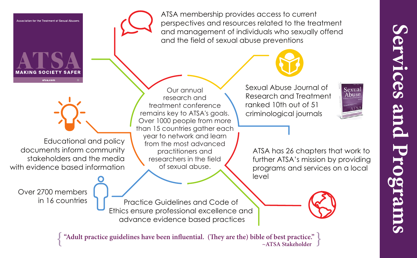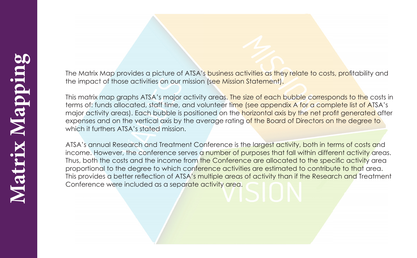The Matrix Map provides a picture of ATSA's business activities as they relate to costs, profitability and the impact of those activities on our mission (see Mission Statement).

This matrix map graphs ATSA's major activity areas. The size of each bubble corresponds to the costs in terms of: funds allocated, staff time, and volunteer time (see appendix A for a complete list of ATSA's major activity areas). Each bubble is positioned on the horizontal axis by the net profit generated after expenses and on the vertical axis by the average rating of the Board of Directors on the degree to which it furthers ATSA's stated mission.

ATSA's annual Research and Treatment Conference is the largest activity, both in terms of costs and income. However, the conference serves a number of purposes that fall within different activity areas. Thus, both the costs and the income from the Conference are allocated to the specific activity area proportional to the degree to which conference activities are estimated to contribute to that area. This provides a better reflection of ATSA's multiple areas of activity than if the Research and Treatment Conference were included as a separate activity area.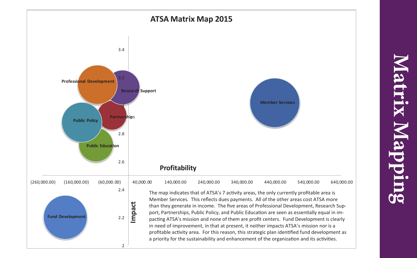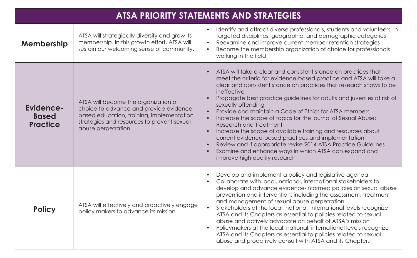| <b>ATSA PRIORITY STATEMENTS AND STRATEGIES</b>      |                                                                                                                                                                                                   |                                                                                                                                                                                                                                                                                                                                                                                                                                                                                                                                                                                                                                                                                                                                                                                                          |  |
|-----------------------------------------------------|---------------------------------------------------------------------------------------------------------------------------------------------------------------------------------------------------|----------------------------------------------------------------------------------------------------------------------------------------------------------------------------------------------------------------------------------------------------------------------------------------------------------------------------------------------------------------------------------------------------------------------------------------------------------------------------------------------------------------------------------------------------------------------------------------------------------------------------------------------------------------------------------------------------------------------------------------------------------------------------------------------------------|--|
| Membership                                          | ATSA will strategically diversify and grow its<br>membership. In this growth effort, ATSA will<br>sustain our welcoming sense of community.                                                       | Identify and attract diverse professionals, students and volunteers, in<br>$\bullet$<br>targeted disciplines, geographic, and demographic categories<br>Reexamine and improve current member retention strategies<br>Become the membership organization of choice for professionals<br>$\bullet$<br>working in the field                                                                                                                                                                                                                                                                                                                                                                                                                                                                                 |  |
| <b>Evidence-</b><br><b>Based</b><br><b>Practice</b> | ATSA will become the organization of<br>choice to advance and provide evidence-<br>based education, training, implementation<br>strategies and resources to prevent sexual<br>abuse perpetration. | ATSA will take a clear and consistent stance on practices that<br>meet the criteria for evidence-based practice and ATSA will take a<br>clear and consistent stance on practices that research shows to be<br>ineffective<br>Propagate best practice guidelines for adults and juveniles at risk of<br>sexually offending<br>Provide and maintain a Code of Ethics for ATSA members<br>$\bullet$<br>Increase the scope of topics for the journal of Sexual Abuse:<br>$\bullet$<br>Research and Treatment<br>Increase the scope of available training and resources about<br>$\bullet$<br>current evidence-based practices and implementation<br>Review and if appropriate revise 2014 ATSA Practice Guidelines<br>Examine and enhance ways in which ATSA can expand and<br>improve high quality research |  |
| <b>Policy</b>                                       | ATSA will effectively and proactively engage<br>policy makers to advance its mission.                                                                                                             | Develop and implement a policy and legislative agenda<br>Collaborate with local, national, international stakeholders to<br>develop and advance evidence-informed policies on sexual abuse<br>prevention and intervention; including the assessment, treatment<br>and management of sexual abuse perpetration<br>Stakeholders at the local, national, international levels recognize<br>$\bullet$<br>ATSA and its Chapters as essential to policies related to sexual<br>abuse and actively advocate on behalf of ATSA's mission<br>Policymakers at the local, national, international levels recognize<br>ATSA and its Chapters as essential to policies related to sexual<br>abuse and proactively consult with ATSA and its Chapters                                                                  |  |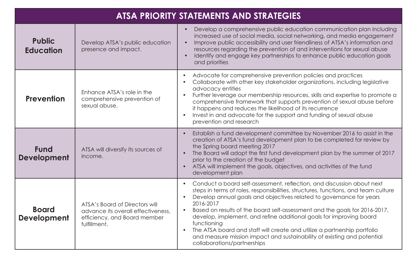| <b>ATSA PRIORITY STATEMENTS AND STRATEGIES</b> |                                                                                                                      |                                                                                                                                                                                                                                                                                                                                                                                                                                                                                                                                                                                                            |
|------------------------------------------------|----------------------------------------------------------------------------------------------------------------------|------------------------------------------------------------------------------------------------------------------------------------------------------------------------------------------------------------------------------------------------------------------------------------------------------------------------------------------------------------------------------------------------------------------------------------------------------------------------------------------------------------------------------------------------------------------------------------------------------------|
| <b>Public</b><br><b>Education</b>              | Develop ATSA's public education<br>presence and impact.                                                              | Develop a comprehensive public education communication plan including<br>increased use of social media, social networking, and media engagement<br>Improve public accessibility and user friendliness of ATSA's information and<br>resources regarding the prevention of and interventions for sexual abuse<br>Identify and engage key partnerships to enhance public education goals<br>and priorities                                                                                                                                                                                                    |
| <b>Prevention</b>                              | Enhance ATSA's role in the<br>comprehensive prevention of<br>sexual abuse.                                           | Advocate for comprehensive prevention policies and practices<br>Collaborate with other key stakeholder organizations, including legislative<br>advocacy entities<br>Further leverage our membership resources, skills and expertise to promote a<br>comprehensive framework that supports prevention of sexual abuse before<br>it happens and reduces the likelihood of its recurrence<br>Invest in and advocate for the support and funding of sexual abuse<br>prevention and research                                                                                                                    |
| <b>Fund</b><br><b>Development</b>              | ATSA will diversify its sources of<br>income.                                                                        | Establish a fund development committee by November 2016 to assist in the<br>creation of ATSA's fund development plan to be completed for review by<br>the Spring board meeting 2017<br>The Board will adopt the first fund development plan by the summer of 2017<br>prior to the creation of the budget<br>ATSA will implement the goals, objectives, and activities of the fund<br>development plan                                                                                                                                                                                                      |
| <b>Board</b><br><b>Development</b>             | ATSA's Board of Directors will<br>advance its overall effectiveness,<br>efficiency, and Board member<br>fulfillment. | Conduct a board self-assessment, reflection, and discussion about next<br>steps in terms of roles, responsibilities, structures, functions, and team culture<br>Develop annual goals and objectives related to governance for years<br>2016-2017<br>Based on results of the board self-assessment and the goals for 2016-2017,<br>develop, implement, and refine additional goals for improving board<br>functioning<br>The ATSA board and staff will create and utilize a partnership portfolio<br>and measure mission impact and sustainability of existing and potential<br>collaborations/partnerships |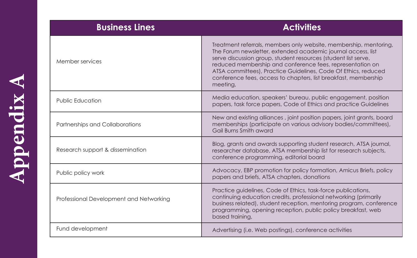| <b>Activities</b>                                                                                                                                                                                                                                                                                                                                                                                                 |
|-------------------------------------------------------------------------------------------------------------------------------------------------------------------------------------------------------------------------------------------------------------------------------------------------------------------------------------------------------------------------------------------------------------------|
| Treatment referrals, members only website, membership, mentoring,<br>The Forum newsletter, extended academic journal access, list<br>serve discussion group, student resources (student list serve,<br>reduced membership and conference fees, representation on<br>ATSA committees), Practice Guidelines, Code Of Ethics, reduced<br>conference fees, access to chapters, list breakfast, membership<br>meeting, |
| Media education, speakers' bureau, public engagement, position<br>papers, task force papers, Code of Ethics and practice Guidelines                                                                                                                                                                                                                                                                               |
| New and existing alliances, joint position papers, joint grants, board<br>memberships (participate on various advisory bodies/committees),<br>Gail Burns Smith award                                                                                                                                                                                                                                              |
| Blog, grants and awards supporting student research, ATSA journal,<br>researcher database, ATSA membership list for research subjects,<br>conference programming, editorial board                                                                                                                                                                                                                                 |
| Advocacy, EBP promotion for policy formation, Amicus Briefs, policy<br>papers and briefs, ATSA chapters, donations                                                                                                                                                                                                                                                                                                |
| Practice guidelines, Code of Ethics, task-force publications,<br>continuing education credits, professional networking (primarily<br>business related), student reception, mentoring program, conference<br>programming, opening reception, public policy breakfast, web<br>based training,                                                                                                                       |
| Advertising (i.e. Web postings), conference activities                                                                                                                                                                                                                                                                                                                                                            |
|                                                                                                                                                                                                                                                                                                                                                                                                                   |

Appendix A **Appendix A**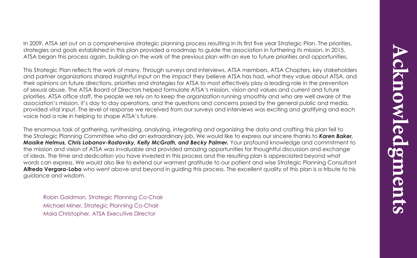In 2009, ATSA set out on a comprehensive strategic planning process resulting in its first five year Strategic Plan. The priorities, strategies and goals established in this plan provided a roadmap to guide the association in furthering its mission. In 2015, ATSA began this process again, building on the work of the previous plan with an eye to future priorities and opportunities.

This Strategic Plan reflects the work of many. Through surveys and interviews, ATSA members, ATSA Chapters, key stakeholders and partner organizations shared insightful input on the impact they believe ATSA has had, what they value about ATSA, and their opinions on future directions, priorities and strategies for ATSA to most effectively play a leading role in the prevention of sexual abuse. The ATSA Board of Directors helped formulate ATSA's mission, vision and values and current and future priorities. ATSA office staff, the people we rely on to keep the organization running smoothly and who are well aware of the association's mission, it's day to day operations, and the questions and concerns posed by the general public and media, provided vital input. The level of response we received from our surveys and interviews was exciting and gratifying and each voice had a role in helping to shape ATSA's future.

The enormous task of gathering, synthesizing, analyzing, integrating and organizing the data and crafting this plan fell to the Strategic Planning Committee who did an extraordinary job. We would like to express our sincere thanks to *Karen Baker, Maaike Helmus, Chris Lobanov-Rostovsky, Kelly McGrath, and Becky Palmer.* Your profound knowledge and commitment to the mission and vision of ATSA was invaluable and provided amazing opportunities for thoughtful discussion and exchange of ideas. The time and dedication you have invested in this process and the resulting plan is appreciated beyond what words can express. We would also like to extend our warmest gratitude to our patient and wise Strategic Planning Consultant **Alfredo Vergara-Lobo** who went above and beyond in guiding this process. The excellent quality of this plan is a tribute to his guidance and wisdom.

Robin Goldman, Strategic Planning Co-Chair Michael Miner, Strategic Planning Co-Chair Maia Christopher, ATSA Executive Director